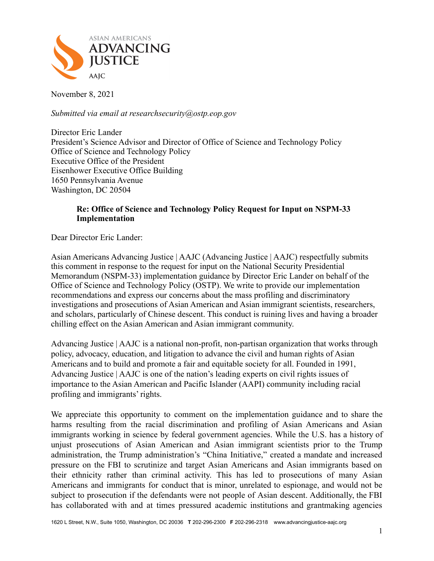

November 8, 2021

*Submitted via email at researchsecurity@ostp.eop.gov*

Director Eric Lander President's Science Advisor and Director of Office of Science and Technology Policy Office of Science and Technology Policy Executive Office of the President Eisenhower Executive Office Building 1650 Pennsylvania Avenue Washington, DC 20504

## **Re: Office of Science and Technology Policy Request for Input on NSPM-33 Implementation**

Dear Director Eric Lander:

Asian Americans Advancing Justice | AAJC (Advancing Justice | AAJC) respectfully submits this comment in response to the request for input on the National Security Presidential Memorandum (NSPM-33) implementation guidance by Director Eric Lander on behalf of the Office of Science and Technology Policy (OSTP). We write to provide our implementation recommendations and express our concerns about the mass profiling and discriminatory investigations and prosecutions of Asian American and Asian immigrant scientists, researchers, and scholars, particularly of Chinese descent. This conduct is ruining lives and having a broader chilling effect on the Asian American and Asian immigrant community.

Advancing Justice | AAJC is a national non-profit, non-partisan organization that works through policy, advocacy, education, and litigation to advance the civil and human rights of Asian Americans and to build and promote a fair and equitable society for all. Founded in 1991, Advancing Justice | AAJC is one of the nation's leading experts on civil rights issues of importance to the Asian American and Pacific Islander (AAPI) community including racial profiling and immigrants' rights.

We appreciate this opportunity to comment on the implementation guidance and to share the harms resulting from the racial discrimination and profiling of Asian Americans and Asian immigrants working in science by federal government agencies. While the U.S. has a history of unjust prosecutions of Asian American and Asian immigrant scientists prior to the Trump administration, the Trump administration's "China Initiative," created a mandate and increased pressure on the FBI to scrutinize and target Asian Americans and Asian immigrants based on their ethnicity rather than criminal activity. This has led to prosecutions of many Asian Americans and immigrants for conduct that is minor, unrelated to espionage, and would not be subject to prosecution if the defendants were not people of Asian descent. Additionally, the FBI has collaborated with and at times pressured academic institutions and grantmaking agencies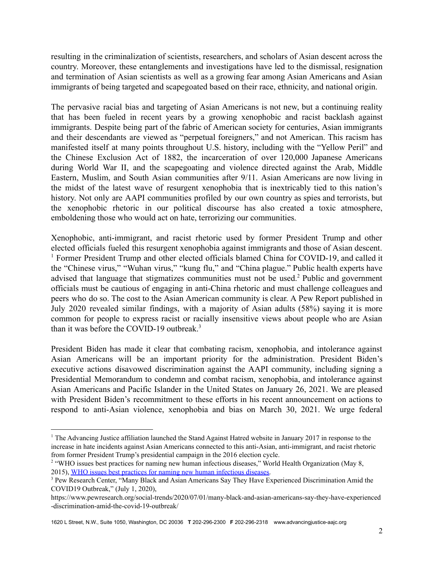resulting in the criminalization of scientists, researchers, and scholars of Asian descent across the country. Moreover, these entanglements and investigations have led to the dismissal, resignation and termination of Asian scientists as well as a growing fear among Asian Americans and Asian immigrants of being targeted and scapegoated based on their race, ethnicity, and national origin.

The pervasive racial bias and targeting of Asian Americans is not new, but a continuing reality that has been fueled in recent years by a growing xenophobic and racist backlash against immigrants. Despite being part of the fabric of American society for centuries, Asian immigrants and their descendants are viewed as "perpetual foreigners," and not American. This racism has manifested itself at many points throughout U.S. history, including with the "Yellow Peril" and the Chinese Exclusion Act of 1882, the incarceration of over 120,000 Japanese Americans during World War II, and the scapegoating and violence directed against the Arab, Middle Eastern, Muslim, and South Asian communities after 9/11. Asian Americans are now living in the midst of the latest wave of resurgent xenophobia that is inextricably tied to this nation's history. Not only are AAPI communities profiled by our own country as spies and terrorists, but the xenophobic rhetoric in our political discourse has also created a toxic atmosphere, emboldening those who would act on hate, terrorizing our communities.

Xenophobic, anti-immigrant, and racist rhetoric used by former President Trump and other elected officials fueled this resurgent xenophobia against immigrants and those of Asian descent. <sup>1</sup> Former President Trump and other elected officials blamed China for COVID-19, and called it the "Chinese virus," "Wuhan virus," "kung flu," and "China plague." Public health experts have advised that language that stigmatizes communities must not be used.<sup>2</sup> Public and government officials must be cautious of engaging in anti-China rhetoric and must challenge colleagues and peers who do so. The cost to the Asian American community is clear. A Pew Report published in July 2020 revealed similar findings, with a majority of Asian adults (58%) saying it is more common for people to express racist or racially insensitive views about people who are Asian than it was before the COVID-19 outbreak.<sup>3</sup>

President Biden has made it clear that combating racism, xenophobia, and intolerance against Asian Americans will be an important priority for the administration. President Biden's executive actions disavowed discrimination against the AAPI community, including signing a Presidential Memorandum to condemn and combat racism, xenophobia, and intolerance against Asian Americans and Pacific Islander in the United States on January 26, 2021. We are pleased with President Biden's recommitment to these efforts in his recent announcement on actions to respond to anti-Asian violence, xenophobia and bias on March 30, 2021. We urge federal

1620 L Street, N.W., Suite 1050, Washington, DC 20036 **T** 202-296-2300 **F** 202-296-2318 www.advancingjustice-aajc.org

<sup>&</sup>lt;sup>1</sup> The Advancing Justice affiliation launched the Stand Against Hatred website in January 2017 in response to the increase in hate incidents against Asian Americans connected to this anti-Asian, anti-immigrant, and racist rhetoric from former President Trump's presidential campaign in the 2016 election cycle.

<sup>&</sup>lt;sup>2</sup> "WHO issues best practices for naming new human infectious diseases," World Health Organization (May 8, 2015), WHO issues best practices for naming new human [infectious](https://www.who.int/news/item/08-05-2015-who-issues-best-practices-for-naming-new-human-infectious-diseases) diseases.

<sup>&</sup>lt;sup>3</sup> Pew Research Center, "Many Black and Asian Americans Say They Have Experienced Discrimination Amid the COVID19 Outbreak," (July 1, 2020),

https://www.pewresearch.org/social-trends/2020/07/01/many-black-and-asian-americans-say-they-have-experienced -discrimination-amid-the-covid-19-outbreak/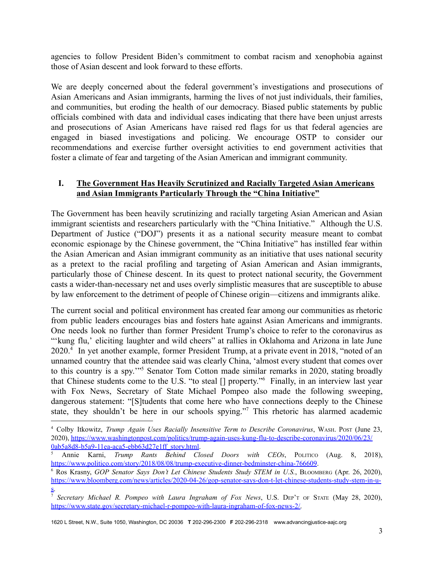agencies to follow President Biden's commitment to combat racism and xenophobia against those of Asian descent and look forward to these efforts.

We are deeply concerned about the federal government's investigations and prosecutions of Asian Americans and Asian immigrants, harming the lives of not just individuals, their families, and communities, but eroding the health of our democracy. Biased public statements by public officials combined with data and individual cases indicating that there have been unjust arrests and prosecutions of Asian Americans have raised red flags for us that federal agencies are engaged in biased investigations and policing. We encourage OSTP to consider our recommendations and exercise further oversight activities to end government activities that foster a climate of fear and targeting of the Asian American and immigrant community.

## **I. The Government Has Heavily Scrutinized and Racially Targeted Asian Americans and Asian Immigrants Particularly Through the "China Initiative"**

The Government has been heavily scrutinizing and racially targeting Asian American and Asian immigrant scientists and researchers particularly with the "China Initiative." Although the U.S. Department of Justice ("DOJ") presents it as a national security measure meant to combat economic espionage by the Chinese government, the "China Initiative" has instilled fear within the Asian American and Asian immigrant community as an initiative that uses national security as a pretext to the racial profiling and targeting of Asian American and Asian immigrants, particularly those of Chinese descent. In its quest to protect national security, the Government casts a wider-than-necessary net and uses overly simplistic measures that are susceptible to abuse by law enforcement to the detriment of people of Chinese origin—citizens and immigrants alike.

The current social and political environment has created fear among our communities as rhetoric from public leaders encourages bias and fosters hate against Asian Americans and immigrants. One needs look no further than former President Trump's choice to refer to the coronavirus as "'kung flu,' eliciting laughter and wild cheers" at rallies in Oklahoma and Arizona in late June 2020.<sup>4</sup> In yet another example, former President Trump, at a private event in 2018, "noted of an unnamed country that the attendee said was clearly China, 'almost every student that comes over to this country is a spy."<sup>5</sup> Senator Tom Cotton made similar remarks in 2020, stating broadly that Chinese students come to the U.S. "to steal  $\iint$  property." Finally, in an interview last year with Fox News, Secretary of State Michael Pompeo also made the following sweeping, dangerous statement: "[S]tudents that come here who have connections deeply to the Chinese state, they shouldn't be here in our schools spying."<sup>7</sup> This rhetoric has alarmed academic

<sup>4</sup> Colby Itkowitz, *Trump Again Uses Racially Insensitive Term to Describe Coronavirus*, WASH. POST (June 23, 2020), [https://www.washingtonpost.com/politics/trump-again-uses-kung-flu-to-describe-coronavirus/2020/06/23/](https://www.washingtonpost.com/politics/trump-again-uses-kung-flu-to-describe-coronavirus/2020/06/23/0ab5a8d8-b5a9-11ea-aca5-ebb63d27e1ff_story.html) [0ab5a8d8-b5a9-11ea-aca5-ebb63d27e1ff\\_story.html.](https://www.washingtonpost.com/politics/trump-again-uses-kung-flu-to-describe-coronavirus/2020/06/23/0ab5a8d8-b5a9-11ea-aca5-ebb63d27e1ff_story.html)

<sup>5</sup> Annie Karni, *Trump Rants Behind Closed Doors with CEOs*, POLITICO (Aug. 8, 2018), <https://www.politico.com/story/2018/08/08/trump-executive-dinner-bedminster-china-766609>.

<sup>6</sup> Ros Krasny, *GOP Senator Says Don't Let Chinese Students Study STEM in U.S.*, BLOOMBERG (Apr. 26, 2020), [https://www.bloomberg.com/news/articles/2020-04-26/gop-senator-says-don-t-let-chinese-students-study-stem-in-u](https://www.bloomberg.com/news/articles/2020-04-26/gop-senator-says-don-t-let-chinese-students-study-stem-in-u-s)[s.](https://www.bloomberg.com/news/articles/2020-04-26/gop-senator-says-don-t-let-chinese-students-study-stem-in-u-s)

<sup>7</sup> *Secretary Michael R. Pompeo with Laura Ingraham of Fox News*, U.S. DEP'<sup>T</sup> OF STATE (May 28, 2020), [https://www.state.gov/secretary-michael-r-pompeo-with-laura-ingraham-of-fox-news-2/.](https://www.state.gov/secretary-michael-r-pompeo-with-laura-ingraham-of-fox-news-2/)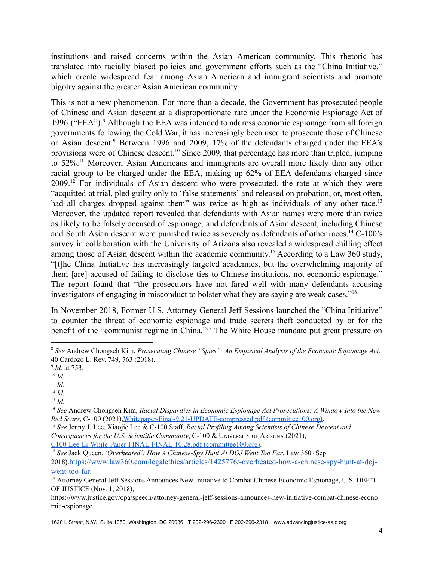institutions and raised concerns within the Asian American community. This rhetoric has translated into racially biased policies and government efforts such as the "China Initiative," which create widespread fear among Asian American and immigrant scientists and promote bigotry against the greater Asian American community.

This is not a new phenomenon. For more than a decade, the Government has prosecuted people of Chinese and Asian descent at a disproportionate rate under the Economic Espionage Act of 1996 ("EEA").<sup>8</sup> Although the EEA was intended to address economic espionage from all foreign governments following the Cold War, it has increasingly been used to prosecute those of Chinese or Asian descent.<sup>9</sup> Between 1996 and 2009, 17% of the defendants charged under the EEA's provisions were of Chinese descent.<sup>10</sup> Since 2009, that percentage has more than tripled, jumping to  $52\%$ .<sup>11</sup> Moreover, Asian Americans and immigrants are overall more likely than any other racial group to be charged under the EEA, making up 62% of EEA defendants charged since  $2009$ <sup>12</sup> For individuals of Asian descent who were prosecuted, the rate at which they were "acquitted at trial, pled guilty only to 'false statements' and released on probation, or, most often, had all charges dropped against them" was twice as high as individuals of any other race.<sup>13</sup> Moreover, the updated report revealed that defendants with Asian names were more than twice as likely to be falsely accused of espionage, and defendants of Asian descent, including Chinese and South Asian descent were punished twice as severely as defendants of other races.<sup>14</sup> C-100's survey in collaboration with the University of Arizona also revealed a widespread chilling effect among those of Asian descent within the academic community.<sup>15</sup> According to a Law 360 study, "[t]he China Initiative has increasingly targeted academics, but the overwhelming majority of them [are] accused of failing to disclose ties to Chinese institutions, not economic espionage." The report found that "the prosecutors have not fared well with many defendants accusing investigators of engaging in misconduct to bolster what they are saying are weak cases."<sup>16</sup>

In November 2018, Former U.S. Attorney General Jeff Sessions launched the "China Initiative" to counter the threat of economic espionage and trade secrets theft conducted by or for the benefit of the "communist regime in China."<sup>17</sup> The White House mandate put great pressure on

[C100-Lee-Li-White-Paper-FINAL-FINAL-10.28.pdf](https://www.committee100.org/wp-content/uploads/2021/10/C100-Lee-Li-White-Paper-FINAL-FINAL-10.28.pdf) (committee100.org).

<sup>8</sup> *See* Andrew Chongseh Kim, *Prosecuting Chinese "Spies": An Empirical Analysis of the Economic Espionage Act*, 40 Cardozo L. Rev. 749, 763 (2018).

<sup>9</sup> *Id.* at 753.

 $^{10}$  *Id.* 

<sup>11</sup> *Id.*

<sup>12</sup> *Id.*

<sup>13</sup> *Id.*

<sup>14</sup> *See* Andrew Chongseh Kim, *Racial Disparities in Economic Espionage Act Prosecutions: A Window Into the New Red Scare*, C-100 (2021)[,Whitepaper-Final-9.21-UPDATE-compressed.pdf](https://www.committee100.org/wp-content/uploads/2021/09/Whitepaper-Final-9.21-UPDATE-compressed.pdf) (committee100.org).

<sup>15</sup> *See* Jenny J. Lee, Xiaojie Lee & C-100 Staff, *Racial Profiling Among Scientists of Chinese Descent and Consequences for the U.S. Scientific Community*, C-100 & UNIVERSITY OF ARIZONA (2021),

<sup>16</sup> *See* Jack Queen, *'Overheated': How A Chinese-Spy Hunt At DOJ Went Too Far*, Law 360 (Sep 2018).[https://www.law360.com/legalethics/articles/1425776/-overheated-how-a-chinese-spy-hunt-at-doj](https://www.law360.com/legalethics/articles/1425776/-overheated-how-a-chinese-spy-hunt-at-doj-went-too-far)[went-too-far](https://www.law360.com/legalethics/articles/1425776/-overheated-how-a-chinese-spy-hunt-at-doj-went-too-far).

<sup>&</sup>lt;sup>17</sup> Attorney General Jeff Sessions Announces New Initiative to Combat Chinese Economic Espionage, U.S. DEP'T OF JUSTICE (Nov. 1, 2018),

https://www.justice.gov/opa/speech/attorney-general-jeff-sessions-announces-new-initiative-combat-chinese-econo mic-espionage.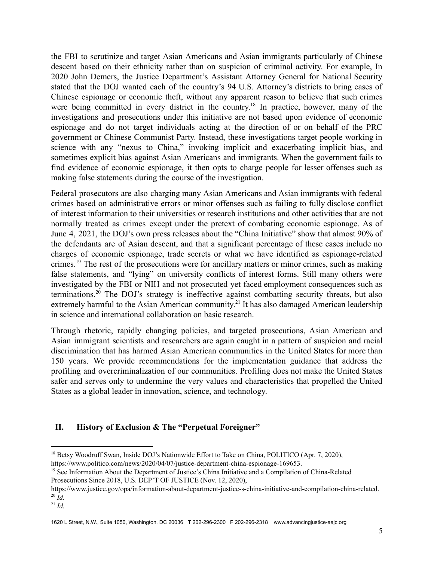the FBI to scrutinize and target Asian Americans and Asian immigrants particularly of Chinese descent based on their ethnicity rather than on suspicion of criminal activity. For example, In 2020 John Demers, the Justice Department's Assistant Attorney General for National Security stated that the DOJ wanted each of the country's 94 U.S. Attorney's districts to bring cases of Chinese espionage or economic theft, without any apparent reason to believe that such crimes were being committed in every district in the country.<sup>18</sup> In practice, however, many of the investigations and prosecutions under this initiative are not based upon evidence of economic espionage and do not target individuals acting at the direction of or on behalf of the PRC government or Chinese Communist Party. Instead, these investigations target people working in science with any "nexus to China," invoking implicit and exacerbating implicit bias, and sometimes explicit bias against Asian Americans and immigrants. When the government fails to find evidence of economic espionage, it then opts to charge people for lesser offenses such as making false statements during the course of the investigation.

Federal prosecutors are also charging many Asian Americans and Asian immigrants with federal crimes based on administrative errors or minor offenses such as failing to fully disclose conflict of interest information to their universities or research institutions and other activities that are not normally treated as crimes except under the pretext of combating economic espionage. As of June 4, 2021, the DOJ's own press releases about the "China Initiative" show that almost 90% of the defendants are of Asian descent, and that a significant percentage of these cases include no charges of economic espionage, trade secrets or what we have identified as espionage-related crimes. <sup>19</sup> The rest of the prosecutions were for ancillary matters or minor crimes, such as making false statements, and "lying" on university conflicts of interest forms. Still many others were investigated by the FBI or NIH and not prosecuted yet faced employment consequences such as terminations.<sup>20</sup> The DOJ's strategy is ineffective against combatting security threats, but also extremely harmful to the Asian American community.<sup>21</sup> It has also damaged American leadership in science and international collaboration on basic research.

Through rhetoric, rapidly changing policies, and targeted prosecutions, Asian American and Asian immigrant scientists and researchers are again caught in a pattern of suspicion and racial discrimination that has harmed Asian American communities in the United States for more than 150 years. We provide recommendations for the implementation guidance that address the profiling and overcriminalization of our communities. Profiling does not make the United States safer and serves only to undermine the very values and characteristics that propelled the United States as a global leader in innovation, science, and technology.

## **II. History of Exclusion & The "Perpetual Foreigner"**

<sup>&</sup>lt;sup>18</sup> Betsy Woodruff Swan, Inside DOJ's Nationwide Effort to Take on China, POLITICO (Apr. 7, 2020), https://www.politico.com/news/2020/04/07/justice-department-china-espionage-169653.

<sup>&</sup>lt;sup>19</sup> See Information About the Department of Justice's China Initiative and a Compilation of China-Related Prosecutions Since 2018, U.S. DEP'T OF JUSTICE (Nov. 12, 2020),

<sup>20</sup> *Id.* https://www.justice.gov/opa/information-about-department-justice-s-china-initiative-and-compilation-china-related.

 $^{21}$  *Id.*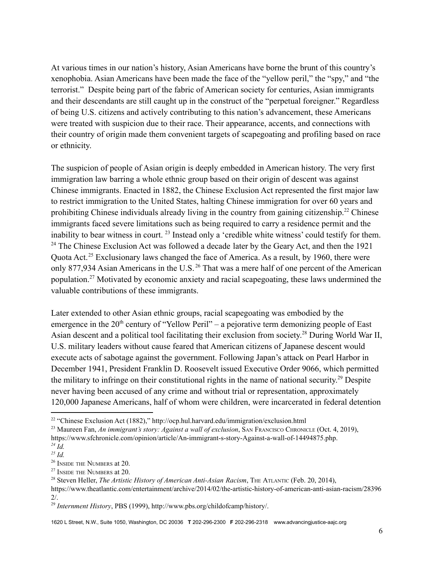At various times in our nation's history, Asian Americans have borne the brunt of this country's xenophobia. Asian Americans have been made the face of the "yellow peril," the "spy," and "the terrorist." Despite being part of the fabric of American society for centuries, Asian immigrants and their descendants are still caught up in the construct of the "perpetual foreigner." Regardless of being U.S. citizens and actively contributing to this nation's advancement, these Americans were treated with suspicion due to their race. Their appearance, accents, and connections with their country of origin made them convenient targets of scapegoating and profiling based on race or ethnicity.

The suspicion of people of Asian origin is deeply embedded in American history. The very first immigration law barring a whole ethnic group based on their origin of descent was against Chinese immigrants. Enacted in 1882, the Chinese Exclusion Act represented the first major law to restrict immigration to the United States, halting Chinese immigration for over 60 years and prohibiting Chinese individuals already living in the country from gaining citizenship.<sup>22</sup> Chinese immigrants faced severe limitations such as being required to carry a residence permit and the inability to bear witness in court.  $^{23}$  Instead only a 'credible white witness' could testify for them.  $24$  The Chinese Exclusion Act was followed a decade later by the Geary Act, and then the 1921 Quota Act.<sup>25</sup> Exclusionary laws changed the face of America. As a result, by 1960, there were only 877,934 Asian Americans in the U.S.<sup>26</sup> That was a mere half of one percent of the American population.<sup>27</sup> Motivated by economic anxiety and racial scapegoating, these laws undermined the valuable contributions of these immigrants.

Later extended to other Asian ethnic groups, racial scapegoating was embodied by the emergence in the  $20<sup>th</sup>$  century of "Yellow Peril" – a pejorative term demonizing people of East Asian descent and a political tool facilitating their exclusion from society.<sup>28</sup> During World War II, U.S. military leaders without cause feared that American citizens of Japanese descent would execute acts of sabotage against the government. Following Japan's attack on Pearl Harbor in December 1941, President Franklin D. Roosevelt issued Executive Order 9066, which permitted the military to infringe on their constitutional rights in the name of national security.<sup>29</sup> Despite never having been accused of any crime and without trial or representation, approximately 120,000 Japanese Americans, half of whom were children, were incarcerated in federal detention

<sup>&</sup>lt;sup>22</sup> "Chinese Exclusion Act (1882)," http://ocp.hul.harvard.edu/immigration/exclusion.html

*<sup>24</sup> Id.* <sup>23</sup> Maureen Fan, *An immigrant's story: Against a wall of exclusion*, SAN FRANCISCO CHRONICLE (Oct. 4, 2019), https://www.sfchronicle.com/opinion/article/An-immigrant-s-story-Against-a-wall-of-14494875.php.

*<sup>25</sup> Id.*

<sup>26</sup> INSIDE THE NUMBERS at 20.

<sup>27</sup> INSIDE THE NUMBERS at 20.

<sup>28</sup> Steven Heller, *The Artistic History of American Anti-Asian Racism*, THE ATLANTIC (Feb. 20, 2014),

https://www.theatlantic.com/entertainment/archive/2014/02/the-artistic-history-of-american-anti-asian-racism/28396 2/.

<sup>29</sup> *Internment History*, PBS (1999), http://www.pbs.org/childofcamp/history/.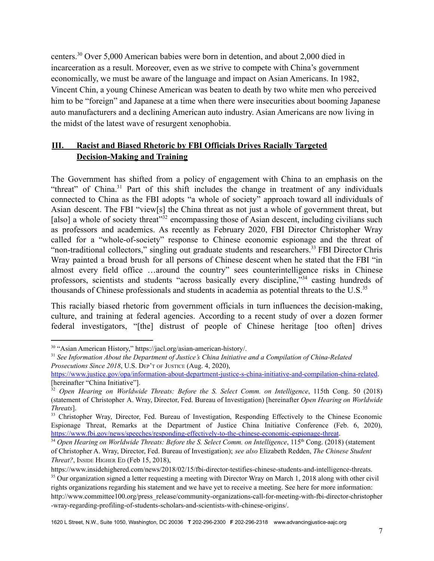centers.<sup>30</sup> Over 5,000 American babies were born in detention, and about 2,000 died in incarceration as a result. Moreover, even as we strive to compete with China's government economically, we must be aware of the language and impact on Asian Americans. In 1982, Vincent Chin, a young Chinese American was beaten to death by two white men who perceived him to be "foreign" and Japanese at a time when there were insecurities about booming Japanese auto manufacturers and a declining American auto industry. Asian Americans are now living in the midst of the latest wave of resurgent xenophobia.

# **III. Racist and Biased Rhetoric by FBI Officials Drives Racially Targeted Decision-Making and Training**

The Government has shifted from a policy of engagement with China to an emphasis on the "threat" of China. $31$  Part of this shift includes the change in treatment of any individuals connected to China as the FBI adopts "a whole of society" approach toward all individuals of Asian descent. The FBI "view[s] the China threat as not just a whole of government threat, but [also] a whole of society threat<sup> $32$ </sup> encompassing those of Asian descent, including civilians such as professors and academics. As recently as February 2020, FBI Director Christopher Wray called for a "whole-of-society" response to Chinese economic espionage and the threat of "non-traditional collectors," singling out graduate students and researchers.<sup>33</sup> FBI Director Chris Wray painted a broad brush for all persons of Chinese descent when he stated that the FBI "in almost every field office …around the country" sees counterintelligence risks in Chinese professors, scientists and students "across basically every discipline,"<sup>34</sup> casting hundreds of thousands of Chinese professionals and students in academia as potential threats to the U.S. $35$ 

This racially biased rhetoric from government officials in turn influences the decision-making, culture, and training at federal agencies. According to a recent study of over a dozen former federal investigators, "[the] distrust of people of Chinese heritage [too often] drives

<sup>30</sup> "Asian American History," https://jacl.org/asian-american-history/.

<sup>31</sup> *See Information About the Department of Justice's China Initiative and a Compilation of China-Related Prosecutions Since 2018*, U.S. DEP'<sup>T</sup> OF JUSTICE (Aug. 4, 2020),

[https://www.justice.gov/opa/information-about-department-justice-s-china-initiative-and-compilation-china-related.](https://www.justice.gov/opa/information-about-department-justice-s-china-initiative-and-compilation-china-related) [hereinafter "China Initiative"].

<sup>32</sup> *Open Hearing on Worldwide Threats: Before the S. Select Comm. on Intelligence*, 115th Cong. 50 (2018) (statement of Christopher A. Wray, Director, Fed. Bureau of Investigation) [hereinafter *Open Hearing on Worldwide Threats*].

<sup>&</sup>lt;sup>33</sup> Christopher Wray, Director, Fed. Bureau of Investigation, Responding Effectively to the Chinese Economic Espionage Threat, Remarks at the Department of Justice China Initiative Conference (Feb. 6, 2020), <https://www.fbi.gov/news/speeches/responding-effectively-to-the-chinese-economic-espionage-threat>.

<sup>34</sup> *Open Hearing on Worldwide Threats: Before the S. Select Comm. on Intelligence*, 115 th Cong. (2018) (statement of Christopher A. Wray, Director, Fed. Bureau of Investigation); *see also* Elizabeth Redden, *The Chinese Student Threat?*, INSIDE HIGHER E<sup>D</sup> (Feb 15, 2018),

https://www.insidehighered.com/news/2018/02/15/fbi-director-testifies-chinese-students-and-intelligence-threats.

<sup>&</sup>lt;sup>35</sup> Our organization signed a letter requesting a meeting with Director Wray on March 1, 2018 along with other civil rights organizations regarding his statement and we have yet to receive a meeting. See here for more information: http://www.committee100.org/press\_release/community-organizations-call-for-meeting-with-fbi-director-christopher -wray-regarding-profiling-of-students-scholars-and-scientists-with-chinese-origins/.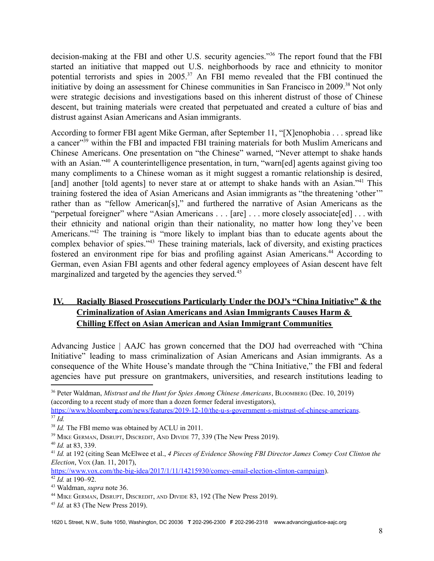decision-making at the FBI and other U.S. security agencies."<sup>36</sup> The report found that the FBI started an initiative that mapped out U.S. neighborhoods by race and ethnicity to monitor potential terrorists and spies in  $2005<sup>37</sup>$  An FBI memo revealed that the FBI continued the initiative by doing an assessment for Chinese communities in San Francisco in 2009.<sup>38</sup> Not only were strategic decisions and investigations based on this inherent distrust of those of Chinese descent, but training materials were created that perpetuated and created a culture of bias and distrust against Asian Americans and Asian immigrants.

According to former FBI agent Mike German, after September 11, "[X]enophobia . . . spread like a cancer<sup>339</sup> within the FBI and impacted FBI training materials for both Muslim Americans and Chinese Americans. One presentation on "the Chinese" warned, "Never attempt to shake hands with an Asian."<sup>40</sup> A counterintelligence presentation, in turn, "warn[ed] agents against giving too many compliments to a Chinese woman as it might suggest a romantic relationship is desired, [and] another [told agents] to never stare at or attempt to shake hands with an Asian."<sup>41</sup> This training fostered the idea of Asian Americans and Asian immigrants as "the threatening 'other'" rather than as "fellow American[s]," and furthered the narrative of Asian Americans as the "perpetual foreigner" where "Asian Americans . . . [are] . . . more closely associate[ed] . . . with their ethnicity and national origin than their nationality, no matter how long they've been Americans."<sup>42</sup> The training is "more likely to implant bias than to educate agents about the complex behavior of spies. $143$  These training materials, lack of diversity, and existing practices fostered an environment ripe for bias and profiling against Asian Americans.<sup>44</sup> According to German, even Asian FBI agents and other federal agency employees of Asian descent have felt marginalized and targeted by the agencies they served.<sup>45</sup>

# **IV. Racially Biased Prosecutions Particularly Under the DOJ's "China Initiative" & the Criminalization of Asian Americans and Asian Immigrants Causes Harm & Chilling Effect on Asian American and Asian Immigrant Communities**

Advancing Justice | AAJC has grown concerned that the DOJ had overreached with "China Initiative" leading to mass criminalization of Asian Americans and Asian immigrants. As a consequence of the White House's mandate through the "China Initiative," the FBI and federal agencies have put pressure on grantmakers, universities, and research institutions leading to

 $42$  *Id.* at 190–92. [https://www.vox.com/the-big-idea/2017/1/11/14215930/comey-email-election-clinton-campaign\)](https://www.vox.com/the-big-idea/2017/1/11/14215930/comey-email-election-clinton-campaign).

<sup>36</sup> Peter Waldman, *Mistrust and the Hunt for Spies Among Chinese Americans*, BLOOMBERG (Dec. 10, 2019) (according to a recent study of more than a dozen former federal investigators),

<sup>37</sup> *Id.* <https://www.bloomberg.com/news/features/2019-12-10/the-u-s-government-s-mistrust-of-chinese-americans>.

<sup>&</sup>lt;sup>38</sup> *Id.* The FBI memo was obtained by ACLU in 2011.

<sup>&</sup>lt;sup>39</sup> MIKE GERMAN, DISRUPT, DISCREDIT, AND DIVIDE 77, 339 (The New Press 2019).

<sup>40</sup> *Id.* at 83, 339.

<sup>41</sup> *Id.* at 192 (citing Sean McElwee et al., *4 Pieces of Evidence Showing FBI Director James Comey Cost Clinton the Election*, VOX (Jan. 11, 2017),

<sup>43</sup> Waldman, *supra* note 36.

<sup>&</sup>lt;sup>44</sup> MIKE GERMAN, DISRUPT, DISCREDIT, AND DIVIDE 83, 192 (The New Press 2019).

<sup>45</sup> *Id.* at 83 (The New Press 2019).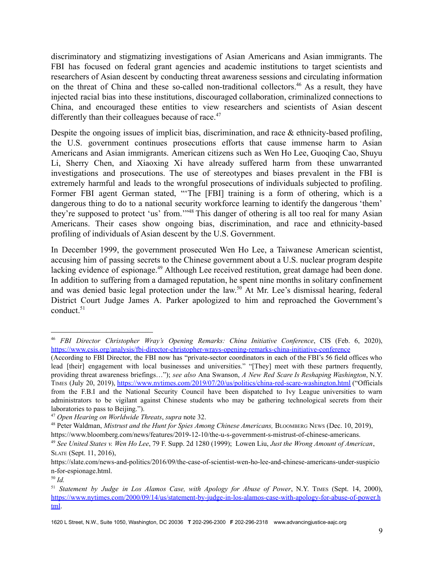discriminatory and stigmatizing investigations of Asian Americans and Asian immigrants. The FBI has focused on federal grant agencies and academic institutions to target scientists and researchers of Asian descent by conducting threat awareness sessions and circulating information on the threat of China and these so-called non-traditional collectors.<sup>46</sup> As a result, they have injected racial bias into these institutions, discouraged collaboration, criminalized connections to China, and encouraged these entities to view researchers and scientists of Asian descent differently than their colleagues because of race.<sup>47</sup>

Despite the ongoing issues of implicit bias, discrimination, and race & ethnicity-based profiling, the U.S. government continues prosecutions efforts that cause immense harm to Asian Americans and Asian immigrants. American citizens such as Wen Ho Lee, Guoqing Cao, Shuyu Li, Sherry Chen, and Xiaoxing Xi have already suffered harm from these unwarranted investigations and prosecutions. The use of stereotypes and biases prevalent in the FBI is extremely harmful and leads to the wrongful prosecutions of individuals subjected to profiling. Former FBI agent German stated, "'The [FBI] training is a form of othering, which is a dangerous thing to do to a national security workforce learning to identify the dangerous 'them' they're supposed to protect 'us' from.'"<sup>48</sup> This danger of othering is all too real for many Asian Americans. Their cases show ongoing bias, discrimination, and race and ethnicity-based profiling of individuals of Asian descent by the U.S. Government.

In December 1999, the government prosecuted Wen Ho Lee, a Taiwanese American scientist, accusing him of passing secrets to the Chinese government about a U.S. nuclear program despite lacking evidence of espionage.<sup>49</sup> Although Lee received restitution, great damage had been done. In addition to suffering from a damaged reputation, he spent nine months in solitary confinement and was denied basic legal protection under the law.<sup>50</sup> At Mr. Lee's dismissal hearing, federal District Court Judge James A. Parker apologized to him and reproached the Government's conduct. $51$ 

<sup>46</sup> *FBI Director Christopher Wray's Opening Remarks: China Initiative Conference*, CIS (Feb. 6, 2020), <https://www.csis.org/analysis/fbi-director-christopher-wrays-opening-remarks-china-initiative-conference>

<sup>(</sup>According to FBI Director, the FBI now has "private-sector coordinators in each of the FBI's 56 field offices who lead [their] engagement with local businesses and universities." "[They] meet with these partners frequently, providing threat awareness briefings…"); *see also* Ana Swanson, *A New Red Scare Is Reshaping Washington*, N.Y. TIMES (July 20, 2019), <https://www.nytimes.com/2019/07/20/us/politics/china-red-scare-washington.html> ("Officials from the F.B.I and the National Security Council have been dispatched to Ivy League universities to warn administrators to be vigilant against Chinese students who may be gathering technological secrets from their laboratories to pass to Beijing.").

<sup>47</sup> *Open Hearing on Worldwide Threats*, *supra* note 32.

<sup>48</sup> Peter Waldman, *Mistrust and the Hunt for Spies Among Chinese Americans,* BLOOMBERG NEWS (Dec. 10, 2019), https://www.bloomberg.com/news/features/2019-12-10/the-u-s-government-s-mistrust-of-chinese-americans.

<sup>49</sup> *See United States v. Wen Ho Lee*, 79 F. Supp. 2d 1280 (1999); Lowen Liu, *Just the Wrong Amount of American*, SLATE (Sept. 11, 2016),

https://slate.com/news-and-politics/2016/09/the-case-of-scientist-wen-ho-lee-and-chinese-americans-under-suspicio n-for-espionage.html.

<sup>50</sup> *Id.*

<sup>51</sup> *Statement by Judge in Los Alamos Case, with Apology for Abuse of Power*, N.Y. TIMES (Sept. 14, 2000), [https://www.nytimes.com/2000/09/14/us/statement-by-judge-in-los-alamos-case-with-apology-for-abuse-of-power.h](https://www.nytimes.com/2000/09/14/us/statement-by-judge-in-los-alamos-case-with-apology-for-abuse-of-power.html) [tml](https://www.nytimes.com/2000/09/14/us/statement-by-judge-in-los-alamos-case-with-apology-for-abuse-of-power.html).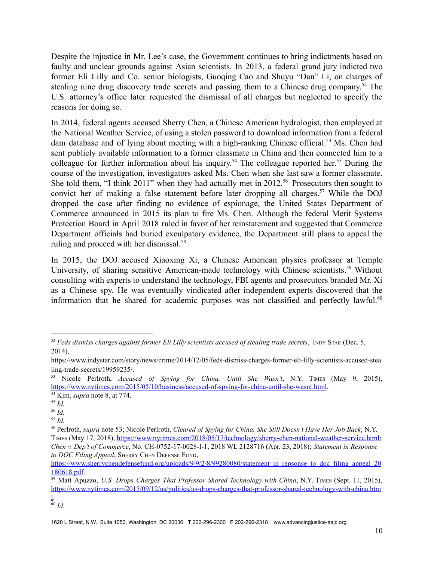Despite the injustice in Mr. Lee's case, the Government continues to bring indictments based on faulty and unclear grounds against Asian scientists. In 2013, a federal grand jury indicted two former Eli Lilly and Co. senior biologists, Guoqing Cao and Shuyu "Dan" Li, on charges of stealing nine drug discovery trade secrets and passing them to a Chinese drug company.<sup> $52$ </sup> The U.S. attorney's office later requested the dismissal of all charges but neglected to specify the reasons for doing so.

In 2014, federal agents accused Sherry Chen, a Chinese American hydrologist, then employed at the National Weather Service, of using a stolen password to download information from a federal dam database and of lying about meeting with a high-ranking Chinese official.<sup>53</sup> Ms. Chen had sent publicly available information to a former classmate in China and then connected him to a colleague for further information about his inquiry.<sup>54</sup> The colleague reported her.<sup>55</sup> During the course of the investigation, investigators asked Ms. Chen when she last saw a former classmate. She told them, "I think 2011" when they had actually met in 2012.<sup>56</sup> Prosecutors then sought to convict her of making a false statement before later dropping all charges.<sup>57</sup> While the DOJ dropped the case after finding no evidence of espionage, the United States Department of Commerce announced in 2015 its plan to fire Ms. Chen. Although the federal Merit Systems Protection Board in April 2018 ruled in favor of her reinstatement and suggested that Commerce Department officials had buried exculpatory evidence, the Department still plans to appeal the ruling and proceed with her dismissal.<sup>58</sup>

In 2015, the DOJ accused Xiaoxing Xi, a Chinese American physics professor at Temple University, of sharing sensitive American-made technology with Chinese scientists.<sup>59</sup> Without consulting with experts to understand the technology, FBI agents and prosecutors branded Mr. Xi as a Chinese spy. He was eventually vindicated after independent experts discovered that the information that he shared for academic purposes was not classified and perfectly lawful.<sup>60</sup>

<sup>52</sup> *Feds dismiss charges against former Eli Lilly scientists accused of stealing trade secrets*, INDY STAR (Dec. 5, 2014),

https://www.indystar.com/story/news/crime/2014/12/05/feds-dismiss-charges-former-eli-lilly-scientists-accused-stea ling-trade-secrets/19959235/.

<sup>53</sup> Nicole Perlroth, *Accused of Spying for China, Until She Wasn't*, N.Y. TIMES (May 9, 2015), <https://www.nytimes.com/2015/05/10/business/accused-of-spying-for-china-until-she-wasnt.html>.

<sup>54</sup> Kim, *supra* note 8, at 774.

<sup>55</sup> *Id.*

<sup>56</sup> *Id.*

<sup>57</sup> *Id.*

<sup>58</sup> Perlroth, *supra* note 53; Nicole Perlroth, *Cleared of Spying for China, She Still Doesn't Have Her Job Back*, N.Y. TIMES (May 17, 2018), [https://www.nytimes.com/2018/05/17/technology/sherry-chen-national-weather-service.html;](https://www.nytimes.com/2018/05/17/technology/sherry-chen-national-weather-service.html) *Chen v. Dep't of Commerce*, No. CH-0752-17-0028-I-1, 2018 WL 2128716 (Apr. 23, 2018); *Statement in Response to DOC Filing Appeal*, SHERRY CHEN DEFENSE FUND,

[https://www.sherrychendefensefund.org/uploads/9/9/2/8/99280080/statement\\_in\\_repsonse\\_to\\_doc\\_filing\\_appeal\\_20](https://www.sherrychendefensefund.org/uploads/9/9/2/8/99280080/statement_in_repsonse_to_doc_filing_appeal_20180618.pdf) [180618.pdf.](https://www.sherrychendefensefund.org/uploads/9/9/2/8/99280080/statement_in_repsonse_to_doc_filing_appeal_20180618.pdf)

<sup>59</sup> Matt Apuzzo, *U.S. Drops Charges That Professor Shared Technology with China*, N.Y. TIMES (Sept. 11, 2015), [https://www.nytimes.com/2015/09/12/us/politics/us-drops-charges-that-professor-shared-technology-with-china.htm](https://www.nytimes.com/2015/09/12/us/politics/us-drops-charges-that-professor-shared-technology-with-china.html) [l.](https://www.nytimes.com/2015/09/12/us/politics/us-drops-charges-that-professor-shared-technology-with-china.html)

<sup>60</sup> *Id.*

<sup>1620</sup> L Street, N.W., Suite 1050, Washington, DC 20036 **T** 202-296-2300 **F** 202-296-2318 www.advancingjustice-aajc.org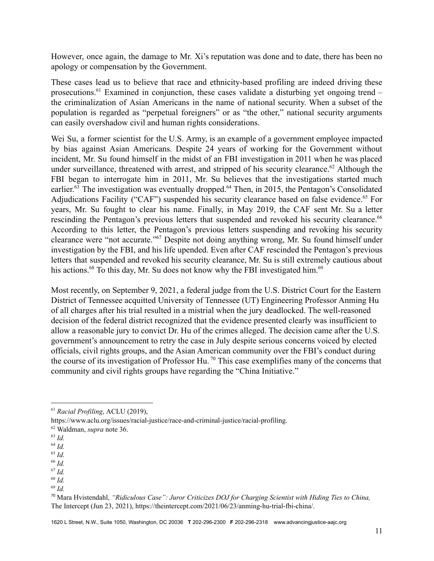However, once again, the damage to Mr. Xi's reputation was done and to date, there has been no apology or compensation by the Government.

These cases lead us to believe that race and ethnicity-based profiling are indeed driving these prosecutions.<sup>61</sup> Examined in conjunction, these cases validate a disturbing yet ongoing trend  $$ the criminalization of Asian Americans in the name of national security. When a subset of the population is regarded as "perpetual foreigners" or as "the other," national security arguments can easily overshadow civil and human rights considerations.

Wei Su, a former scientist for the U.S. Army, is an example of a government employee impacted by bias against Asian Americans. Despite 24 years of working for the Government without incident, Mr. Su found himself in the midst of an FBI investigation in 2011 when he was placed under surveillance, threatened with arrest, and stripped of his security clearance.<sup>62</sup> Although the FBI began to interrogate him in 2011, Mr. Su believes that the investigations started much earlier.<sup>63</sup> The investigation was eventually dropped.<sup>64</sup> Then, in 2015, the Pentagon's Consolidated Adjudications Facility ("CAF") suspended his security clearance based on false evidence.<sup>65</sup> For years, Mr. Su fought to clear his name. Finally, in May 2019, the CAF sent Mr. Su a letter rescinding the Pentagon's previous letters that suspended and revoked his security clearance.<sup>66</sup> According to this letter, the Pentagon's previous letters suspending and revoking his security clearance were "not accurate."<sup>67</sup> Despite not doing anything wrong, Mr. Su found himself under investigation by the FBI, and his life upended. Even after CAF rescinded the Pentagon's previous letters that suspended and revoked his security clearance, Mr. Su is still extremely cautious about his actions.<sup>68</sup> To this day, Mr. Su does not know why the FBI investigated him.<sup>69</sup>

Most recently, on September 9, 2021, a federal judge from the U.S. District Court for the Eastern District of Tennessee acquitted University of Tennessee (UT) Engineering Professor Anming Hu of all charges after his trial resulted in a mistrial when the jury deadlocked. The well-reasoned decision of the federal district recognized that the evidence presented clearly was insufficient to allow a reasonable jury to convict Dr. Hu of the crimes alleged. The decision came after the U.S. government's announcement to retry the case in July despite serious concerns voiced by elected officials, civil rights groups, and the Asian American community over the FBI's conduct during the course of its investigation of Professor Hu.<sup>70</sup> This case exemplifies many of the concerns that community and civil rights groups have regarding the "China Initiative."

<sup>67</sup> *Id.* <sup>66</sup> *Id.*

<sup>69</sup> *Id.*

<sup>61</sup> *Racial Profiling*, ACLU (2019),

https://www.aclu.org/issues/racial-justice/race-and-criminal-justice/racial-profiling.

<sup>62</sup> Waldman, *supra* note 36.

<sup>63</sup> *Id.*

<sup>64</sup> *Id.*

<sup>65</sup> *Id.*

<sup>68</sup> *Id.*

<sup>70</sup> Mara Hvistendahl, *"Ridiculous Case": Juror Criticizes DOJ for Charging Scientist with Hiding Ties to China,* The Intercept (Jun 23, 2021), https://theintercept.com/2021/06/23/anming-hu-trial-fbi-china/.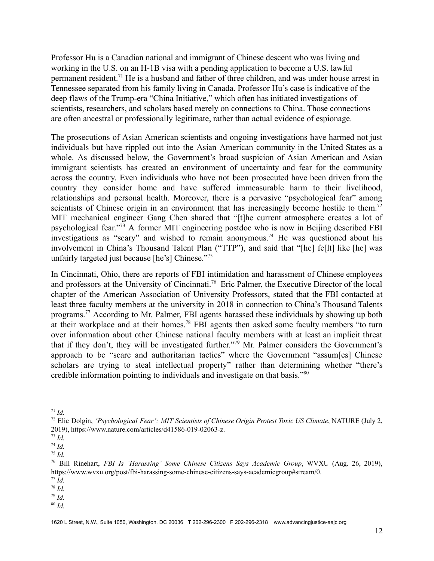Professor Hu is a Canadian national and immigrant of Chinese descent who was living and working in the U.S. on an H-1B visa with a pending application to become a U.S. lawful permanent resident.<sup>71</sup> He is a husband and father of three children, and was under house arrest in Tennessee separated from his family living in Canada. Professor Hu's case is indicative of the deep flaws of the Trump-era "China Initiative," which often has initiated investigations of scientists, researchers, and scholars based merely on connections to China. Those connections are often ancestral or professionally legitimate, rather than actual evidence of espionage.

The prosecutions of Asian American scientists and ongoing investigations have harmed not just individuals but have rippled out into the Asian American community in the United States as a whole. As discussed below, the Government's broad suspicion of Asian American and Asian immigrant scientists has created an environment of uncertainty and fear for the community across the country. Even individuals who have not been prosecuted have been driven from the country they consider home and have suffered immeasurable harm to their livelihood, relationships and personal health. Moreover, there is a pervasive "psychological fear" among scientists of Chinese origin in an environment that has increasingly become hostile to them.<sup>72</sup> MIT mechanical engineer Gang Chen shared that "[t]he current atmosphere creates a lot of psychological fear.<sup>773</sup> A former MIT engineering postdoc who is now in Beijing described FBI investigations as "scary" and wished to remain anonymous.<sup>74</sup> He was questioned about his involvement in China's Thousand Talent Plan ("TTP"), and said that "[he] fe[lt] like [he] was unfairly targeted just because [he's] Chinese."<sup>75</sup>

In Cincinnati, Ohio, there are reports of FBI intimidation and harassment of Chinese employees and professors at the University of Cincinnati.<sup>76</sup> Eric Palmer, the Executive Director of the local chapter of the American Association of University Professors, stated that the FBI contacted at least three faculty members at the university in 2018 in connection to China's Thousand Talents programs.<sup> $77$ </sup> According to Mr. Palmer, FBI agents harassed these individuals by showing up both at their workplace and at their homes.<sup>78</sup> FBI agents then asked some faculty members "to turn over information about other Chinese national faculty members with at least an implicit threat that if they don't, they will be investigated further."<sup>79</sup> Mr. Palmer considers the Government's approach to be "scare and authoritarian tactics" where the Government "assum[es] Chinese scholars are trying to steal intellectual property" rather than determining whether "there's credible information pointing to individuals and investigate on that basis."<sup>80</sup>

<sup>79</sup> *Id.*

 $^{71}$  *Id.* 

<sup>72</sup> Elie Dolgin, *'Psychological Fear': MIT Scientists of Chinese Origin Protest Toxic US Climate*, NATURE (July 2, 2019), https://www.nature.com/articles/d41586-019-02063-z.

<sup>73</sup> *Id.*

<sup>74</sup> *Id.*

<sup>75</sup> *Id.*

<sup>76</sup> Bill Rinehart, *FBI Is 'Harassing' Some Chinese Citizens Says Academic Group*, WVXU (Aug. 26, 2019), https://www.wvxu.org/post/fbi-harassing-some-chinese-citizens-says-academicgroup#stream/0.

<sup>77</sup> *Id.*

<sup>78</sup> *Id.*

<sup>80</sup> *Id.*

<sup>1620</sup> L Street, N.W., Suite 1050, Washington, DC 20036 **T** 202-296-2300 **F** 202-296-2318 www.advancingjustice-aajc.org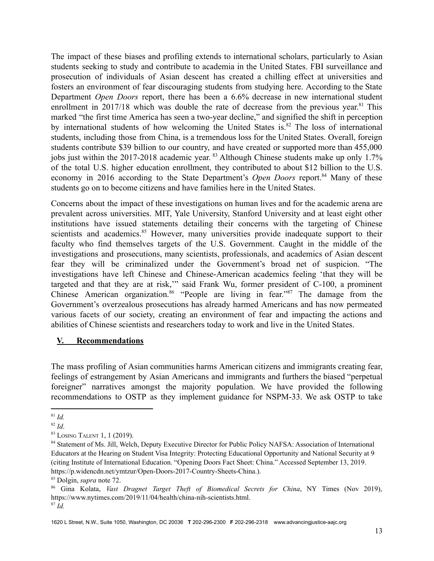The impact of these biases and profiling extends to international scholars, particularly to Asian students seeking to study and contribute to academia in the United States. FBI surveillance and prosecution of individuals of Asian descent has created a chilling effect at universities and fosters an environment of fear discouraging students from studying here. According to the State Department *Open Doors* report, there has been a 6.6% decrease in new international student enrollment in  $2017/18$  which was double the rate of decrease from the previous vear.<sup>81</sup> This marked "the first time America has seen a two-year decline," and signified the shift in perception by international students of how welcoming the United States is. $82$  The loss of international students, including those from China, is a tremendous loss for the United States. Overall, foreign students contribute \$39 billion to our country, and have created or supported more than 455,000 jobs just within the 2017-2018 academic year. <sup>83</sup> Although Chinese students make up only 1.7% of the total U.S. higher education enrollment, they contributed to about \$12 billion to the U.S. economy in 2016 according to the State Department's *Open Doors* report.<sup>84</sup> Many of these students go on to become citizens and have families here in the United States.

Concerns about the impact of these investigations on human lives and for the academic arena are prevalent across universities. MIT, Yale University, Stanford University and at least eight other institutions have issued statements detailing their concerns with the targeting of Chinese scientists and academics.<sup>85</sup> However, many universities provide inadequate support to their faculty who find themselves targets of the U.S. Government. Caught in the middle of the investigations and prosecutions, many scientists, professionals, and academics of Asian descent fear they will be criminalized under the Government's broad net of suspicion. "The investigations have left Chinese and Chinese-American academics feeling 'that they will be targeted and that they are at risk,'" said Frank Wu, former president of C-100, a prominent Chinese American organization. <sup>86</sup> "People are living in fear.<sup>787</sup> The damage from the Government's overzealous prosecutions has already harmed Americans and has now permeated various facets of our society, creating an environment of fear and impacting the actions and abilities of Chinese scientists and researchers today to work and live in the United States.

#### **V. Recommendations**

The mass profiling of Asian communities harms American citizens and immigrants creating fear, feelings of estrangement by Asian Americans and immigrants and furthers the biased "perpetual foreigner" narratives amongst the majority population. We have provided the following recommendations to OSTP as they implement guidance for NSPM-33. We ask OSTP to take

<sup>81</sup> *Id.*

<sup>82</sup> *Id*.

<sup>83</sup> LOSING TALENT 1, 1 (2019).

<sup>84</sup> Statement of Ms. Jill, Welch, Deputy Executive Director for Public Policy NAFSA: Association of International Educators at the Hearing on Student Visa Integrity: Protecting Educational Opportunity and National Security at 9 (citing Institute of International Education. "Opening Doors Fact Sheet: China." Accessed September 13, 2019. https://p.widencdn.net/ymtzur/Open-Doors-2017-Country-Sheets-China.).

<sup>85</sup> Dolgin, *supra* note 72.

<sup>87</sup> *Id.* <sup>86</sup> Gina Kolata, *Vast Dragnet Target Theft of Biomedical Secrets for China*, NY Times (Nov 2019), https://www.nytimes.com/2019/11/04/health/china-nih-scientists.html.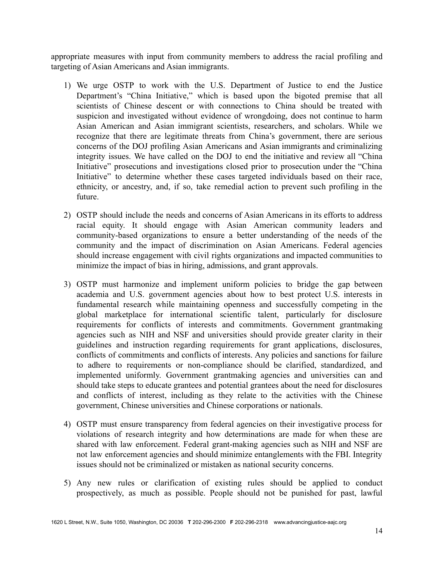appropriate measures with input from community members to address the racial profiling and targeting of Asian Americans and Asian immigrants.

- 1) We urge OSTP to work with the U.S. Department of Justice to end the Justice Department's "China Initiative," which is based upon the bigoted premise that all scientists of Chinese descent or with connections to China should be treated with suspicion and investigated without evidence of wrongdoing, does not continue to harm Asian American and Asian immigrant scientists, researchers, and scholars. While we recognize that there are legitimate threats from China's government, there are serious concerns of the DOJ profiling Asian Americans and Asian immigrants and criminalizing integrity issues. We have called on the DOJ to end the initiative and review all "China Initiative" prosecutions and investigations closed prior to prosecution under the "China Initiative" to determine whether these cases targeted individuals based on their race, ethnicity, or ancestry, and, if so, take remedial action to prevent such profiling in the future.
- 2) OSTP should include the needs and concerns of Asian Americans in its efforts to address racial equity. It should engage with Asian American community leaders and community-based organizations to ensure a better understanding of the needs of the community and the impact of discrimination on Asian Americans. Federal agencies should increase engagement with civil rights organizations and impacted communities to minimize the impact of bias in hiring, admissions, and grant approvals.
- 3) OSTP must harmonize and implement uniform policies to bridge the gap between academia and U.S. government agencies about how to best protect U.S. interests in fundamental research while maintaining openness and successfully competing in the global marketplace for international scientific talent, particularly for disclosure requirements for conflicts of interests and commitments. Government grantmaking agencies such as NIH and NSF and universities should provide greater clarity in their guidelines and instruction regarding requirements for grant applications, disclosures, conflicts of commitments and conflicts of interests. Any policies and sanctions for failure to adhere to requirements or non-compliance should be clarified, standardized, and implemented uniformly. Government grantmaking agencies and universities can and should take steps to educate grantees and potential grantees about the need for disclosures and conflicts of interest, including as they relate to the activities with the Chinese government, Chinese universities and Chinese corporations or nationals.
- 4) OSTP must ensure transparency from federal agencies on their investigative process for violations of research integrity and how determinations are made for when these are shared with law enforcement. Federal grant-making agencies such as NIH and NSF are not law enforcement agencies and should minimize entanglements with the FBI. Integrity issues should not be criminalized or mistaken as national security concerns.
- 5) Any new rules or clarification of existing rules should be applied to conduct prospectively, as much as possible. People should not be punished for past, lawful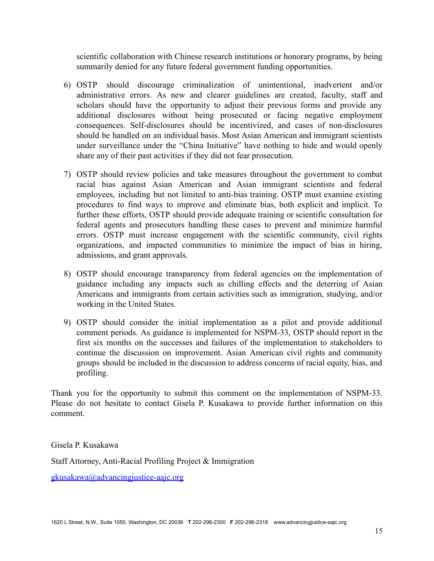scientific collaboration with Chinese research institutions or honorary programs, by being summarily denied for any future federal government funding opportunities.

- 6) OSTP should discourage criminalization of unintentional, inadvertent and/or administrative errors. As new and clearer guidelines are created, faculty, staff and scholars should have the opportunity to adjust their previous forms and provide any additional disclosures without being prosecuted or facing negative employment consequences. Self-disclosures should be incentivized, and cases of non-disclosures should be handled on an individual basis. Most Asian American and immigrant scientists under surveillance under the "China Initiative" have nothing to hide and would openly share any of their past activities if they did not fear prosecution.
- 7) OSTP should review policies and take measures throughout the government to combat racial bias against Asian American and Asian immigrant scientists and federal employees, including but not limited to anti-bias training. OSTP must examine existing procedures to find ways to improve and eliminate bias, both explicit and implicit. To further these efforts, OSTP should provide adequate training or scientific consultation for federal agents and prosecutors handling these cases to prevent and minimize harmful errors. OSTP must increase engagement with the scientific community, civil rights organizations, and impacted communities to minimize the impact of bias in hiring, admissions, and grant approvals.
- 8) OSTP should encourage transparency from federal agencies on the implementation of guidance including any impacts such as chilling effects and the deterring of Asian Americans and immigrants from certain activities such as immigration, studying, and/or working in the United States.
- 9) OSTP should consider the initial implementation as a pilot and provide additional comment periods. As guidance is implemented for NSPM-33, OSTP should report in the first six months on the successes and failures of the implementation to stakeholders to continue the discussion on improvement. Asian American civil rights and community groups should be included in the discussion to address concerns of racial equity, bias, and profiling.

Thank you for the opportunity to submit this comment on the implementation of NSPM-33. Please do not hesitate to contact Gisela P. Kusakawa to provide further information on this comment.

Gisela P. Kusakawa

Staff Attorney, Anti-Racial Profiling Project & Immigration

[gkusakawa@advancingjustice-aajc.org](mailto:gkusakawa@advancingjustice-aajc.org)